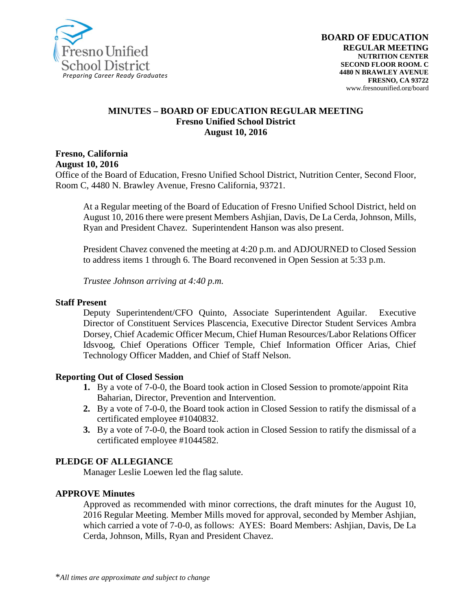

#### **MINUTES – BOARD OF EDUCATION REGULAR MEETING Fresno Unified School District August 10, 2016**

**Fresno, California August 10, 2016**

Office of the Board of Education, Fresno Unified School District, Nutrition Center, Second Floor, Room C, 4480 N. Brawley Avenue, Fresno California, 93721.

At a Regular meeting of the Board of Education of Fresno Unified School District, held on August 10, 2016 there were present Members Ashjian, Davis, De La Cerda, Johnson, Mills, Ryan and President Chavez. Superintendent Hanson was also present.

President Chavez convened the meeting at 4:20 p.m. and ADJOURNED to Closed Session to address items 1 through 6. The Board reconvened in Open Session at 5:33 p.m.

*Trustee Johnson arriving at 4:40 p.m.*

#### **Staff Present**

Deputy Superintendent/CFO Quinto, Associate Superintendent Aguilar. Executive Director of Constituent Services Plascencia, Executive Director Student Services Ambra Dorsey, Chief Academic Officer Mecum, Chief Human Resources/Labor Relations Officer Idsvoog, Chief Operations Officer Temple, Chief Information Officer Arias, Chief Technology Officer Madden, and Chief of Staff Nelson.

#### **Reporting Out of Closed Session**

- **1.** By a vote of 7-0-0, the Board took action in Closed Session to promote/appoint Rita Baharian, Director, Prevention and Intervention.
- **2.** By a vote of 7-0-0, the Board took action in Closed Session to ratify the dismissal of a certificated employee #1040832.
- **3.** By a vote of 7-0-0, the Board took action in Closed Session to ratify the dismissal of a certificated employee #1044582.

#### **PLEDGE OF ALLEGIANCE**

Manager Leslie Loewen led the flag salute.

#### **APPROVE Minutes**

Approved as recommended with minor corrections, the draft minutes for the August 10, 2016 Regular Meeting. Member Mills moved for approval, seconded by Member Ashjian, which carried a vote of 7-0-0, as follows: AYES: Board Members: Ashjian, Davis, De La Cerda, Johnson, Mills, Ryan and President Chavez.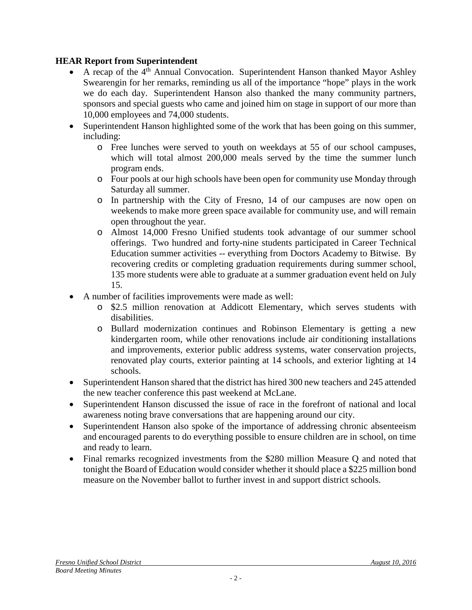## **HEAR Report from Superintendent**

- A recap of the 4<sup>th</sup> Annual Convocation. Superintendent Hanson thanked Mayor Ashley Swearengin for her remarks, reminding us all of the importance "hope" plays in the work we do each day. Superintendent Hanson also thanked the many community partners, sponsors and special guests who came and joined him on stage in support of our more than 10,000 employees and 74,000 students.
- Superintendent Hanson highlighted some of the work that has been going on this summer, including:
	- o Free lunches were served to youth on weekdays at 55 of our school campuses, which will total almost 200,000 meals served by the time the summer lunch program ends.
	- o Four pools at our high schools have been open for community use Monday through Saturday all summer.
	- o In partnership with the City of Fresno, 14 of our campuses are now open on weekends to make more green space available for community use, and will remain open throughout the year.
	- o Almost 14,000 Fresno Unified students took advantage of our summer school offerings. Two hundred and forty-nine students participated in Career Technical Education summer activities -- everything from Doctors Academy to Bitwise. By recovering credits or completing graduation requirements during summer school, 135 more students were able to graduate at a summer graduation event held on July 15.
- A number of facilities improvements were made as well:
	- o \$2.5 million renovation at Addicott Elementary, which serves students with disabilities.
	- o Bullard modernization continues and Robinson Elementary is getting a new kindergarten room, while other renovations include air conditioning installations and improvements, exterior public address systems, water conservation projects, renovated play courts, exterior painting at 14 schools, and exterior lighting at 14 schools.
- Superintendent Hanson shared that the district has hired 300 new teachers and 245 attended the new teacher conference this past weekend at McLane.
- Superintendent Hanson discussed the issue of race in the forefront of national and local awareness noting brave conversations that are happening around our city.
- Superintendent Hanson also spoke of the importance of addressing chronic absenteeism and encouraged parents to do everything possible to ensure children are in school, on time and ready to learn.
- Final remarks recognized investments from the \$280 million Measure O and noted that tonight the Board of Education would consider whether it should place a \$225 million bond measure on the November ballot to further invest in and support district schools.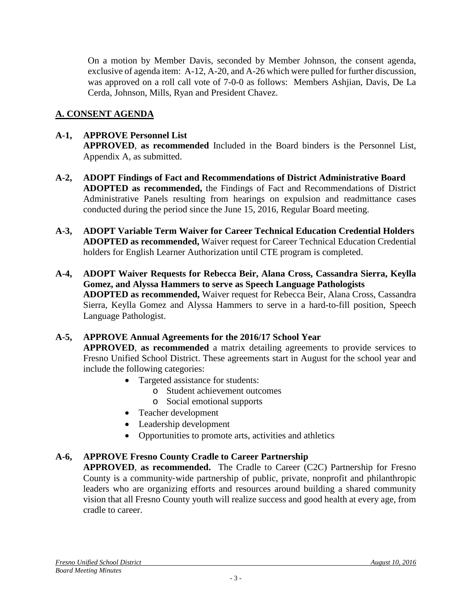On a motion by Member Davis, seconded by Member Johnson, the consent agenda, exclusive of agenda item: A-12, A-20, and A-26 which were pulled for further discussion, was approved on a roll call vote of 7-0-0 as follows: Members Ashjian, Davis, De La Cerda, Johnson, Mills, Ryan and President Chavez.

## **A. CONSENT AGENDA**

## **A-1, APPROVE Personnel List**

**APPROVED**, **as recommended** Included in the Board binders is the Personnel List, Appendix A, as submitted.

- **A-2, ADOPT Findings of Fact and Recommendations of District Administrative Board ADOPTED as recommended,** the Findings of Fact and Recommendations of District Administrative Panels resulting from hearings on expulsion and readmittance cases conducted during the period since the June 15, 2016, Regular Board meeting.
- **A-3, ADOPT Variable Term Waiver for Career Technical Education Credential Holders ADOPTED as recommended,** Waiver request for Career Technical Education Credential holders for English Learner Authorization until CTE program is completed.
- **A-4, ADOPT Waiver Requests for Rebecca Beir, Alana Cross, Cassandra Sierra, Keylla Gomez, and Alyssa Hammers to serve as Speech Language Pathologists ADOPTED as recommended,** Waiver request for Rebecca Beir, Alana Cross, Cassandra Sierra, Keylla Gomez and Alyssa Hammers to serve in a hard-to-fill position, Speech Language Pathologist.

#### **A-5, APPROVE Annual Agreements for the 2016/17 School Year**

**APPROVED**, **as recommended** a matrix detailing agreements to provide services to Fresno Unified School District. These agreements start in August for the school year and include the following categories:

- Targeted assistance for students:
	- o Student achievement outcomes
	- o Social emotional supports
- Teacher development
- Leadership development
- Opportunities to promote arts, activities and athletics

## **A-6, APPROVE Fresno County Cradle to Career Partnership**

**APPROVED**, **as recommended.** The Cradle to Career (C2C) Partnership for Fresno County is a community‐wide partnership of public, private, nonprofit and philanthropic leaders who are organizing efforts and resources around building a shared community vision that all Fresno County youth will realize success and good health at every age, from cradle to career.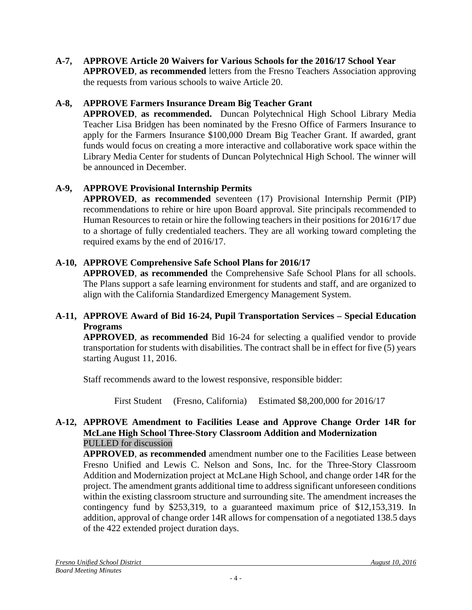**A-7, APPROVE Article 20 Waivers for Various Schools for the 2016/17 School Year APPROVED**, **as recommended** letters from the Fresno Teachers Association approving the requests from various schools to waive Article 20.

## **A-8, APPROVE Farmers Insurance Dream Big Teacher Grant**

**APPROVED**, **as recommended.** Duncan Polytechnical High School Library Media Teacher Lisa Bridgen has been nominated by the Fresno Office of Farmers Insurance to apply for the Farmers Insurance \$100,000 Dream Big Teacher Grant. If awarded, grant funds would focus on creating a more interactive and collaborative work space within the Library Media Center for students of Duncan Polytechnical High School. The winner will be announced in December.

## **A-9, APPROVE Provisional Internship Permits**

**APPROVED**, **as recommended** seventeen (17) Provisional Internship Permit (PIP) recommendations to rehire or hire upon Board approval. Site principals recommended to Human Resources to retain or hire the following teachers in their positions for 2016/17 due to a shortage of fully credentialed teachers. They are all working toward completing the required exams by the end of 2016/17.

## **A-10, APPROVE Comprehensive Safe School Plans for 2016/17**

**APPROVED**, **as recommended** the Comprehensive Safe School Plans for all schools. The Plans support a safe learning environment for students and staff, and are organized to align with the California Standardized Emergency Management System.

## **A-11, APPROVE Award of Bid 16-24, Pupil Transportation Services – Special Education Programs**

**APPROVED**, **as recommended** Bid 16-24 for selecting a qualified vendor to provide transportation for students with disabilities. The contract shall be in effect for five (5) years starting August 11, 2016.

Staff recommends award to the lowest responsive, responsible bidder:

First Student (Fresno, California) Estimated \$8,200,000 for 2016/17

## **A-12, APPROVE Amendment to Facilities Lease and Approve Change Order 14R for McLane High School Three-Story Classroom Addition and Modernization** PULLED for discussion

**APPROVED**, **as recommended** amendment number one to the Facilities Lease between Fresno Unified and Lewis C. Nelson and Sons, Inc. for the Three-Story Classroom Addition and Modernization project at McLane High School, and change order 14R for the project. The amendment grants additional time to address significant unforeseen conditions within the existing classroom structure and surrounding site. The amendment increases the contingency fund by \$253,319, to a guaranteed maximum price of \$12,153,319. In addition, approval of change order 14R allows for compensation of a negotiated 138.5 days of the 422 extended project duration days.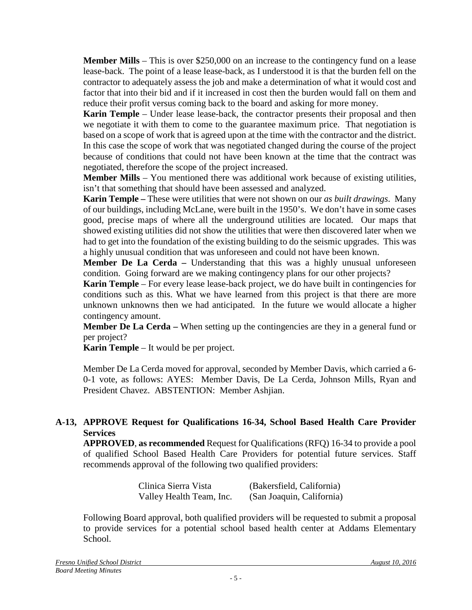**Member Mills** – This is over \$250,000 on an increase to the contingency fund on a lease lease-back. The point of a lease lease-back, as I understood it is that the burden fell on the contractor to adequately assess the job and make a determination of what it would cost and factor that into their bid and if it increased in cost then the burden would fall on them and reduce their profit versus coming back to the board and asking for more money.

**Karin Temple** – Under lease lease-back, the contractor presents their proposal and then we negotiate it with them to come to the guarantee maximum price. That negotiation is based on a scope of work that is agreed upon at the time with the contractor and the district. In this case the scope of work that was negotiated changed during the course of the project because of conditions that could not have been known at the time that the contract was negotiated, therefore the scope of the project increased.

**Member Mills** – You mentioned there was additional work because of existing utilities, isn't that something that should have been assessed and analyzed.

**Karin Temple –** These were utilities that were not shown on our *as built drawings*. Many of our buildings, including McLane, were built in the 1950's. We don't have in some cases good, precise maps of where all the underground utilities are located. Our maps that showed existing utilities did not show the utilities that were then discovered later when we had to get into the foundation of the existing building to do the seismic upgrades. This was a highly unusual condition that was unforeseen and could not have been known.

**Member De La Cerda –** Understanding that this was a highly unusual unforeseen condition. Going forward are we making contingency plans for our other projects?

**Karin Temple** – For every lease lease-back project, we do have built in contingencies for conditions such as this. What we have learned from this project is that there are more unknown unknowns then we had anticipated. In the future we would allocate a higher contingency amount.

**Member De La Cerda** – When setting up the contingencies are they in a general fund or per project?

**Karin Temple** – It would be per project.

Member De La Cerda moved for approval, seconded by Member Davis, which carried a 6- 0-1 vote, as follows: AYES: Member Davis, De La Cerda, Johnson Mills, Ryan and President Chavez. ABSTENTION: Member Ashjian.

## **A-13, APPROVE Request for Qualifications 16-34, School Based Health Care Provider Services**

**APPROVED**, **as recommended** Request for Qualifications (RFQ) 16-34 to provide a pool of qualified School Based Health Care Providers for potential future services. Staff recommends approval of the following two qualified providers:

| Clinica Sierra Vista     | (Bakersfield, California) |
|--------------------------|---------------------------|
| Valley Health Team, Inc. | (San Joaquin, California) |

Following Board approval, both qualified providers will be requested to submit a proposal to provide services for a potential school based health center at Addams Elementary School.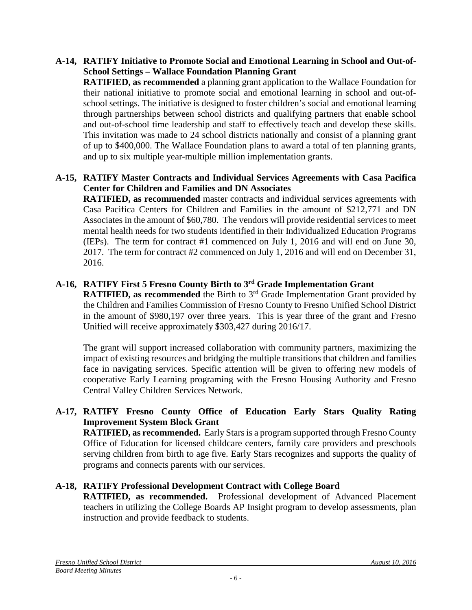## **A-14, RATIFY Initiative to Promote Social and Emotional Learning in School and Out-of-School Settings – Wallace Foundation Planning Grant**

**RATIFIED, as recommended** a planning grant application to the Wallace Foundation for their national initiative to promote social and emotional learning in school and out-ofschool settings. The initiative is designed to foster children's social and emotional learning through partnerships between school districts and qualifying partners that enable school and out-of-school time leadership and staff to effectively teach and develop these skills. This invitation was made to 24 school districts nationally and consist of a planning grant of up to \$400,000. The Wallace Foundation plans to award a total of ten planning grants, and up to six multiple year-multiple million implementation grants.

## **A-15, RATIFY Master Contracts and Individual Services Agreements with Casa Pacifica Center for Children and Families and DN Associates**

**RATIFIED, as recommended** master contracts and individual services agreements with Casa Pacifica Centers for Children and Families in the amount of \$212,771 and DN Associates in the amount of \$60,780. The vendors will provide residential services to meet mental health needs for two students identified in their Individualized Education Programs (IEPs). The term for contract #1 commenced on July 1, 2016 and will end on June 30, 2017. The term for contract #2 commenced on July 1, 2016 and will end on December 31, 2016.

## **A-16, RATIFY First 5 Fresno County Birth to 3rd Grade Implementation Grant**

**RATIFIED, as recommended** the Birth to 3<sup>rd</sup> Grade Implementation Grant provided by the Children and Families Commission of Fresno County to Fresno Unified School District in the amount of \$980,197 over three years. This is year three of the grant and Fresno Unified will receive approximately \$303,427 during 2016/17.

The grant will support increased collaboration with community partners, maximizing the impact of existing resources and bridging the multiple transitions that children and families face in navigating services. Specific attention will be given to offering new models of cooperative Early Learning programing with the Fresno Housing Authority and Fresno Central Valley Children Services Network.

## **A-17, RATIFY Fresno County Office of Education Early Stars Quality Rating Improvement System Block Grant**

**RATIFIED, as recommended.** Early Stars is a program supported through Fresno County Office of Education for licensed childcare centers, family care providers and preschools serving children from birth to age five. Early Stars recognizes and supports the quality of programs and connects parents with our services.

## **A-18, RATIFY Professional Development Contract with College Board**

**RATIFIED, as recommended.** Professional development of Advanced Placement teachers in utilizing the College Boards AP Insight program to develop assessments, plan instruction and provide feedback to students.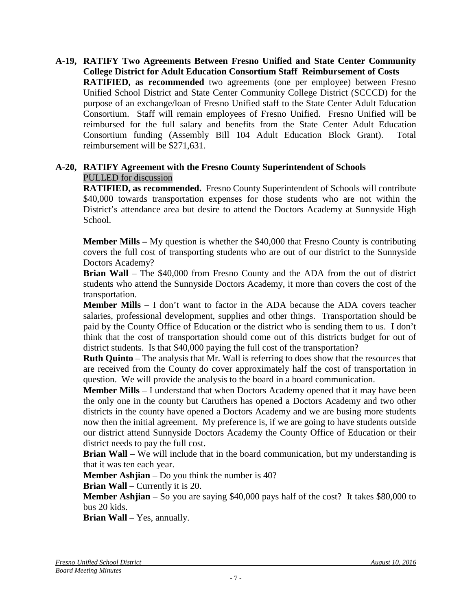**A-19, RATIFY Two Agreements Between Fresno Unified and State Center Community College District for Adult Education Consortium Staff Reimbursement of Costs RATIFIED, as recommended** two agreements (one per employee) between Fresno Unified School District and State Center Community College District (SCCCD) for the purpose of an exchange/loan of Fresno Unified staff to the State Center Adult Education Consortium. Staff will remain employees of Fresno Unified. Fresno Unified will be reimbursed for the full salary and benefits from the State Center Adult Education Consortium funding (Assembly Bill 104 Adult Education Block Grant). Total reimbursement will be \$271,631.

#### **A-20, RATIFY Agreement with the Fresno County Superintendent of Schools** PULLED for discussion

**RATIFIED, as recommended.** Fresno County Superintendent of Schools will contribute \$40,000 towards transportation expenses for those students who are not within the District's attendance area but desire to attend the Doctors Academy at Sunnyside High School.

**Member Mills –** My question is whether the \$40,000 that Fresno County is contributing covers the full cost of transporting students who are out of our district to the Sunnyside Doctors Academy?

**Brian Wall** – The \$40,000 from Fresno County and the ADA from the out of district students who attend the Sunnyside Doctors Academy, it more than covers the cost of the transportation.

**Member Mills** – I don't want to factor in the ADA because the ADA covers teacher salaries, professional development, supplies and other things. Transportation should be paid by the County Office of Education or the district who is sending them to us. I don't think that the cost of transportation should come out of this districts budget for out of district students. Is that \$40,000 paying the full cost of the transportation?

**Ruth Quinto** – The analysis that Mr. Wall is referring to does show that the resources that are received from the County do cover approximately half the cost of transportation in question. We will provide the analysis to the board in a board communication.

**Member Mills** – I understand that when Doctors Academy opened that it may have been the only one in the county but Caruthers has opened a Doctors Academy and two other districts in the county have opened a Doctors Academy and we are busing more students now then the initial agreement. My preference is, if we are going to have students outside our district attend Sunnyside Doctors Academy the County Office of Education or their district needs to pay the full cost.

**Brian Wall** – We will include that in the board communication, but my understanding is that it was ten each year.

**Member Ashijan** – Do you think the number is 40?

**Brian Wall** – Currently it is 20.

**Member Ashjian** – So you are saying \$40,000 pays half of the cost? It takes \$80,000 to bus 20 kids.

Brian Wall – Yes, annually.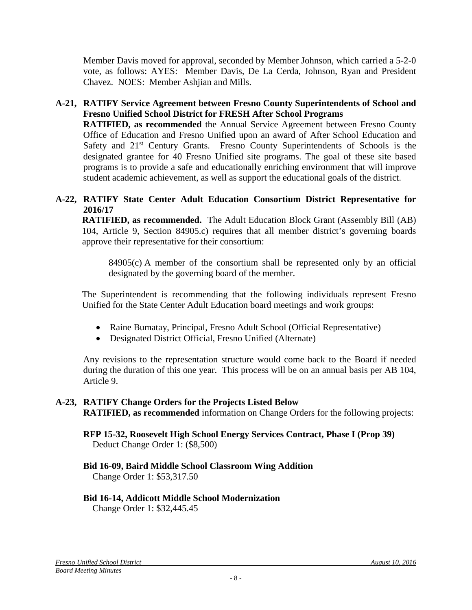Member Davis moved for approval, seconded by Member Johnson, which carried a 5-2-0 vote, as follows: AYES: Member Davis, De La Cerda, Johnson, Ryan and President Chavez. NOES: Member Ashjian and Mills.

# **A-21, RATIFY Service Agreement between Fresno County Superintendents of School and Fresno Unified School District for FRESH After School Programs**

**RATIFIED, as recommended** the Annual Service Agreement between Fresno County Office of Education and Fresno Unified upon an award of After School Education and Safety and 21<sup>st</sup> Century Grants. Fresno County Superintendents of Schools is the designated grantee for 40 Fresno Unified site programs. The goal of these site based programs is to provide a safe and educationally enriching environment that will improve student academic achievement, as well as support the educational goals of the district.

## **A-22, RATIFY State Center Adult Education Consortium District Representative for 2016/17**

**RATIFIED, as recommended.** The Adult Education Block Grant (Assembly Bill (AB) 104, Article 9, Section 84905.c) requires that all member district's governing boards approve their representative for their consortium:

84905(c) A member of the consortium shall be represented only by an official designated by the governing board of the member.

The Superintendent is recommending that the following individuals represent Fresno Unified for the State Center Adult Education board meetings and work groups:

- Raine Bumatay, Principal, Fresno Adult School (Official Representative)
- Designated District Official, Fresno Unified (Alternate)

Any revisions to the representation structure would come back to the Board if needed during the duration of this one year. This process will be on an annual basis per AB 104, Article 9.

## **A-23, RATIFY Change Orders for the Projects Listed Below RATIFIED, as recommended** information on Change Orders for the following projects:

#### **RFP 15-32, Roosevelt High School Energy Services Contract, Phase I (Prop 39)** Deduct Change Order 1: (\$8,500)

## **Bid 16-09, Baird Middle School Classroom Wing Addition**

Change Order 1: \$53,317.50

## **Bid 16-14, Addicott Middle School Modernization**

Change Order 1: \$32,445.45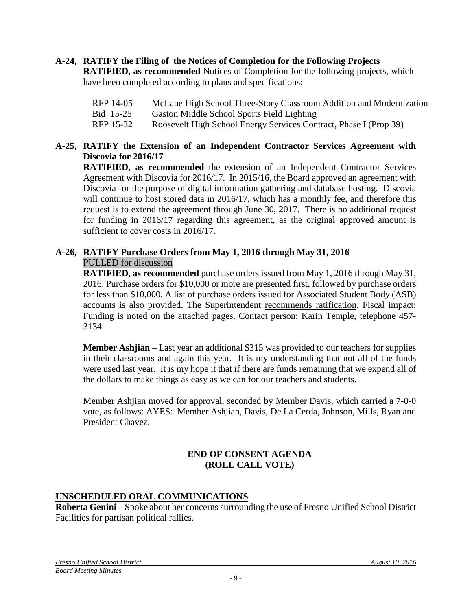# **A-24, RATIFY the Filing of the Notices of Completion for the Following Projects**

**RATIFIED, as recommended** Notices of Completion for the following projects, which have been completed according to plans and specifications:

- RFP 14-05 McLane High School Three-Story Classroom Addition and Modernization
- Bid 15-25 Gaston Middle School Sports Field Lighting
- RFP 15-32 Roosevelt High School Energy Services Contract, Phase I (Prop 39)

## **A-25, RATIFY the Extension of an Independent Contractor Services Agreement with Discovia for 2016/17**

**RATIFIED, as recommended** the extension of an Independent Contractor Services Agreement with Discovia for 2016/17. In 2015/16, the Board approved an agreement with Discovia for the purpose of digital information gathering and database hosting. Discovia will continue to host stored data in 2016/17, which has a monthly fee, and therefore this request is to extend the agreement through June 30, 2017. There is no additional request for funding in 2016/17 regarding this agreement, as the original approved amount is sufficient to cover costs in 2016/17.

## **A-26, RATIFY Purchase Orders from May 1, 2016 through May 31, 2016** PULLED for discussion

**RATIFIED, as recommended** purchase orders issued from May 1, 2016 through May 31, 2016. Purchase orders for \$10,000 or more are presented first, followed by purchase orders for less than \$10,000. A list of purchase orders issued for Associated Student Body (ASB) accounts is also provided. The Superintendent recommends ratification. Fiscal impact: Funding is noted on the attached pages. Contact person: Karin Temple, telephone 457- 3134.

**Member Ashjian** – Last year an additional \$315 was provided to our teachers for supplies in their classrooms and again this year. It is my understanding that not all of the funds were used last year. It is my hope it that if there are funds remaining that we expend all of the dollars to make things as easy as we can for our teachers and students.

Member Ashjian moved for approval, seconded by Member Davis, which carried a 7-0-0 vote, as follows: AYES: Member Ashjian, Davis, De La Cerda, Johnson, Mills, Ryan and President Chavez.

## **END OF CONSENT AGENDA (ROLL CALL VOTE)**

## **UNSCHEDULED ORAL COMMUNICATIONS**

**Roberta Genini –** Spoke about her concerns surrounding the use of Fresno Unified School District Facilities for partisan political rallies.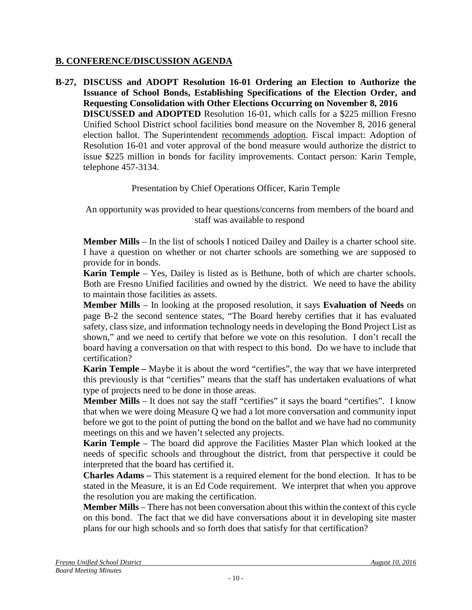## **B. CONFERENCE/DISCUSSION AGENDA**

**B-27, DISCUSS and ADOPT Resolution 16-01 Ordering an Election to Authorize the Issuance of School Bonds, Establishing Specifications of the Election Order, and Requesting Consolidation with Other Elections Occurring on November 8, 2016 DISCUSSED and ADOPTED** Resolution 16-01, which calls for a \$225 million Fresno Unified School District school facilities bond measure on the November 8, 2016 general election ballot. The Superintendent recommends adoption. Fiscal impact: Adoption of Resolution 16-01 and voter approval of the bond measure would authorize the district to issue \$225 million in bonds for facility improvements. Contact person: Karin Temple, telephone 457-3134.

Presentation by Chief Operations Officer, Karin Temple

An opportunity was provided to hear questions/concerns from members of the board and staff was available to respond

**Member Mills** – In the list of schools I noticed Dailey and Dailey is a charter school site. I have a question on whether or not charter schools are something we are supposed to provide for in bonds.

**Karin Temple** – Yes, Dailey is listed as is Bethune, both of which are charter schools. Both are Fresno Unified facilities and owned by the district. We need to have the ability to maintain those facilities as assets.

**Member Mills** – In looking at the proposed resolution, it says **Evaluation of Needs** on page B-2 the second sentence states, "The Board hereby certifies that it has evaluated safety, class size, and information technology needs in developing the Bond Project List as shown," and we need to certify that before we vote on this resolution. I don't recall the board having a conversation on that with respect to this bond. Do we have to include that certification?

**Karin Temple –** Maybe it is about the word "certifies", the way that we have interpreted this previously is that "certifies" means that the staff has undertaken evaluations of what type of projects need to be done in those areas.

**Member Mills** – It does not say the staff "certifies" it says the board "certifies". I know that when we were doing Measure Q we had a lot more conversation and community input before we got to the point of putting the bond on the ballot and we have had no community meetings on this and we haven't selected any projects.

**Karin Temple** – The board did approve the Facilities Master Plan which looked at the needs of specific schools and throughout the district, from that perspective it could be interpreted that the board has certified it.

**Charles Adams –** This statement is a required element for the bond election. It has to be stated in the Measure, it is an Ed Code requirement. We interpret that when you approve the resolution you are making the certification.

**Member Mills** – There has not been conversation about this within the context of this cycle on this bond. The fact that we did have conversations about it in developing site master plans for our high schools and so forth does that satisfy for that certification?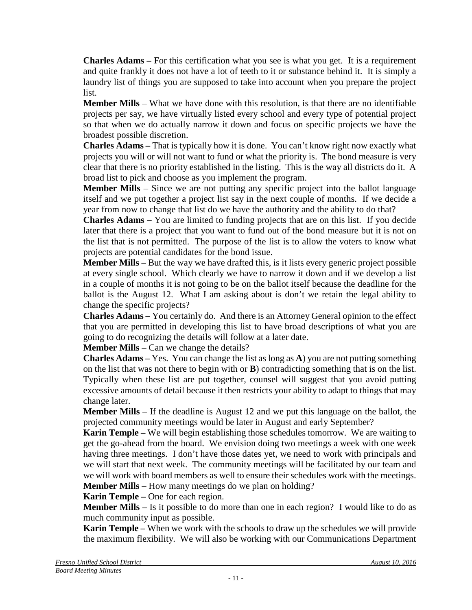**Charles Adams –** For this certification what you see is what you get. It is a requirement and quite frankly it does not have a lot of teeth to it or substance behind it. It is simply a laundry list of things you are supposed to take into account when you prepare the project list.

**Member Mills** – What we have done with this resolution, is that there are no identifiable projects per say, we have virtually listed every school and every type of potential project so that when we do actually narrow it down and focus on specific projects we have the broadest possible discretion.

**Charles Adams –** That is typically how it is done. You can't know right now exactly what projects you will or will not want to fund or what the priority is. The bond measure is very clear that there is no priority established in the listing. This is the way all districts do it. A broad list to pick and choose as you implement the program.

**Member Mills** – Since we are not putting any specific project into the ballot language itself and we put together a project list say in the next couple of months. If we decide a year from now to change that list do we have the authority and the ability to do that?

**Charles Adams –** You are limited to funding projects that are on this list. If you decide later that there is a project that you want to fund out of the bond measure but it is not on the list that is not permitted. The purpose of the list is to allow the voters to know what projects are potential candidates for the bond issue.

**Member Mills** – But the way we have drafted this, is it lists every generic project possible at every single school. Which clearly we have to narrow it down and if we develop a list in a couple of months it is not going to be on the ballot itself because the deadline for the ballot is the August 12. What I am asking about is don't we retain the legal ability to change the specific projects?

**Charles Adams –** You certainly do. And there is an Attorney General opinion to the effect that you are permitted in developing this list to have broad descriptions of what you are going to do recognizing the details will follow at a later date.

**Member Mills** – Can we change the details?

**Charles Adams –** Yes. You can change the list as long as **A**) you are not putting something on the list that was not there to begin with or **B**) contradicting something that is on the list. Typically when these list are put together, counsel will suggest that you avoid putting excessive amounts of detail because it then restricts your ability to adapt to things that may change later.

**Member Mills** – If the deadline is August 12 and we put this language on the ballot, the projected community meetings would be later in August and early September?

**Karin Temple –** We will begin establishing those schedules tomorrow. We are waiting to get the go-ahead from the board. We envision doing two meetings a week with one week having three meetings. I don't have those dates yet, we need to work with principals and we will start that next week. The community meetings will be facilitated by our team and we will work with board members as well to ensure their schedules work with the meetings. **Member Mills** – How many meetings do we plan on holding?

**Karin Temple –** One for each region.

**Member Mills** – Is it possible to do more than one in each region? I would like to do as much community input as possible.

**Karin Temple –** When we work with the schools to draw up the schedules we will provide the maximum flexibility. We will also be working with our Communications Department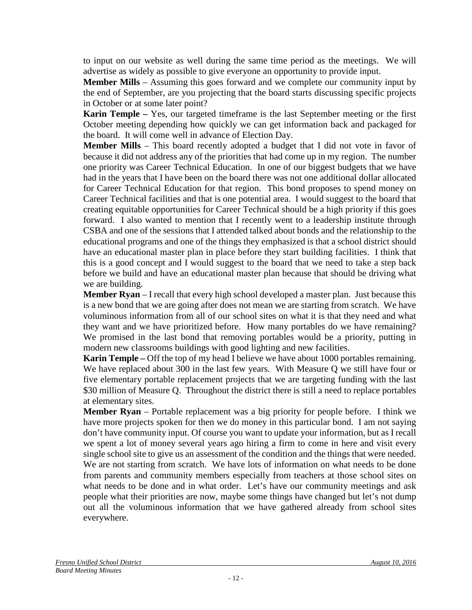to input on our website as well during the same time period as the meetings. We will advertise as widely as possible to give everyone an opportunity to provide input.

**Member Mills** – Assuming this goes forward and we complete our community input by the end of September, are you projecting that the board starts discussing specific projects in October or at some later point?

**Karin Temple –** Yes, our targeted timeframe is the last September meeting or the first October meeting depending how quickly we can get information back and packaged for the board. It will come well in advance of Election Day.

**Member Mills** – This board recently adopted a budget that I did not vote in favor of because it did not address any of the priorities that had come up in my region. The number one priority was Career Technical Education. In one of our biggest budgets that we have had in the years that I have been on the board there was not one additional dollar allocated for Career Technical Education for that region. This bond proposes to spend money on Career Technical facilities and that is one potential area. I would suggest to the board that creating equitable opportunities for Career Technical should be a high priority if this goes forward. I also wanted to mention that I recently went to a leadership institute through CSBA and one of the sessions that I attended talked about bonds and the relationship to the educational programs and one of the things they emphasized is that a school district should have an educational master plan in place before they start building facilities. I think that this is a good concept and I would suggest to the board that we need to take a step back before we build and have an educational master plan because that should be driving what we are building.

**Member Ryan** – I recall that every high school developed a master plan. Just because this is a new bond that we are going after does not mean we are starting from scratch. We have voluminous information from all of our school sites on what it is that they need and what they want and we have prioritized before. How many portables do we have remaining? We promised in the last bond that removing portables would be a priority, putting in modern new classrooms buildings with good lighting and new facilities.

**Karin Temple –** Off the top of my head I believe we have about 1000 portables remaining. We have replaced about 300 in the last few years. With Measure Q we still have four or five elementary portable replacement projects that we are targeting funding with the last \$30 million of Measure Q. Throughout the district there is still a need to replace portables at elementary sites.

**Member Ryan** – Portable replacement was a big priority for people before. I think we have more projects spoken for then we do money in this particular bond. I am not saying don't have community input. Of course you want to update your information, but as I recall we spent a lot of money several years ago hiring a firm to come in here and visit every single school site to give us an assessment of the condition and the things that were needed. We are not starting from scratch. We have lots of information on what needs to be done from parents and community members especially from teachers at those school sites on what needs to be done and in what order. Let's have our community meetings and ask people what their priorities are now, maybe some things have changed but let's not dump out all the voluminous information that we have gathered already from school sites everywhere.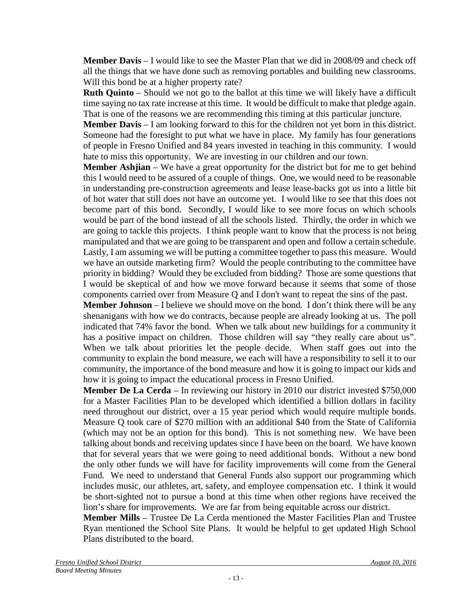**Member Davis** – I would like to see the Master Plan that we did in 2008/09 and check off all the things that we have done such as removing portables and building new classrooms. Will this bond be at a higher property rate?

**Ruth Quinto** – Should we not go to the ballot at this time we will likely have a difficult time saying no tax rate increase at this time. It would be difficult to make that pledge again. That is one of the reasons we are recommending this timing at this particular juncture.

**Member Davis** – I am looking forward to this for the children not yet born in this district. Someone had the foresight to put what we have in place. My family has four generations of people in Fresno Unified and 84 years invested in teaching in this community. I would hate to miss this opportunity. We are investing in our children and our town.

**Member Ashjian** – We have a great opportunity for the district but for me to get behind this I would need to be assured of a couple of things. One, we would need to be reasonable in understanding pre-construction agreements and lease lease-backs got us into a little bit of hot water that still does not have an outcome yet. I would like to see that this does not become part of this bond. Secondly, I would like to see more focus on which schools would be part of the bond instead of all the schools listed. Thirdly, the order in which we are going to tackle this projects. I think people want to know that the process is not being manipulated and that we are going to be transparent and open and follow a certain schedule. Lastly, I am assuming we will be putting a committee together to pass this measure. Would we have an outside marketing firm? Would the people contributing to the committee have priority in bidding? Would they be excluded from bidding? Those are some questions that I would be skeptical of and how we move forward because it seems that some of those components carried over from Measure Q and I don't want to repeat the sins of the past.

**Member Johnson** – I believe we should move on the bond. I don't think there will be any shenanigans with how we do contracts, because people are already looking at us. The poll indicated that 74% favor the bond. When we talk about new buildings for a community it has a positive impact on children. Those children will say "they really care about us". When we talk about priorities let the people decide. When staff goes out into the community to explain the bond measure, we each will have a responsibility to sell it to our community, the importance of the bond measure and how it is going to impact our kids and how it is going to impact the educational process in Fresno Unified.

**Member De La Cerda** – In reviewing our history in 2010 our district invested \$750,000 for a Master Facilities Plan to be developed which identified a billion dollars in facility need throughout our district, over a 15 year period which would require multiple bonds. Measure Q took care of \$270 million with an additional \$40 from the State of California (which may not be an option for this bond). This is not something new. We have been talking about bonds and receiving updates since I have been on the board. We have known that for several years that we were going to need additional bonds. Without a new bond the only other funds we will have for facility improvements will come from the General Fund. We need to understand that General Funds also support our programming which includes music, our athletes, art, safety, and employee compensation etc. I think it would be short-sighted not to pursue a bond at this time when other regions have received the lion's share for improvements. We are far from being equitable across our district.

**Member Mills** – Trustee De La Cerda mentioned the Master Facilities Plan and Trustee Ryan mentioned the School Site Plans. It would be helpful to get updated High School Plans distributed to the board.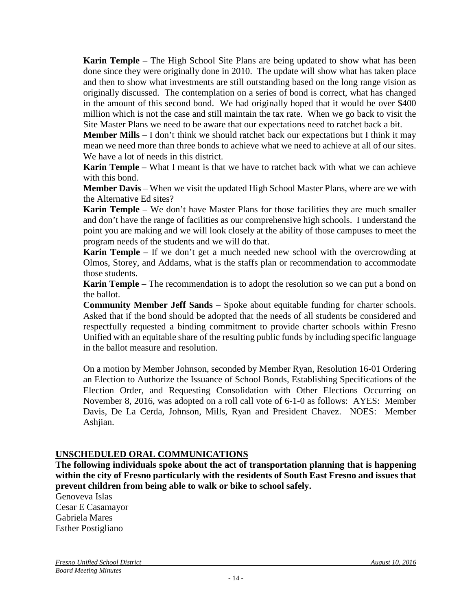**Karin Temple** – The High School Site Plans are being updated to show what has been done since they were originally done in 2010. The update will show what has taken place and then to show what investments are still outstanding based on the long range vision as originally discussed. The contemplation on a series of bond is correct, what has changed in the amount of this second bond. We had originally hoped that it would be over \$400 million which is not the case and still maintain the tax rate. When we go back to visit the Site Master Plans we need to be aware that our expectations need to ratchet back a bit.

**Member Mills** – I don't think we should ratchet back our expectations but I think it may mean we need more than three bonds to achieve what we need to achieve at all of our sites. We have a lot of needs in this district.

**Karin Temple** – What I meant is that we have to ratchet back with what we can achieve with this bond.

**Member Davis** – When we visit the updated High School Master Plans, where are we with the Alternative Ed sites?

**Karin Temple** – We don't have Master Plans for those facilities they are much smaller and don't have the range of facilities as our comprehensive high schools. I understand the point you are making and we will look closely at the ability of those campuses to meet the program needs of the students and we will do that.

**Karin Temple** – If we don't get a much needed new school with the overcrowding at Olmos, Storey, and Addams, what is the staffs plan or recommendation to accommodate those students.

**Karin Temple** – The recommendation is to adopt the resolution so we can put a bond on the ballot.

**Community Member Jeff Sands** – Spoke about equitable funding for charter schools. Asked that if the bond should be adopted that the needs of all students be considered and respectfully requested a binding commitment to provide charter schools within Fresno Unified with an equitable share of the resulting public funds by including specific language in the ballot measure and resolution.

On a motion by Member Johnson, seconded by Member Ryan, Resolution 16-01 Ordering an Election to Authorize the Issuance of School Bonds, Establishing Specifications of the Election Order, and Requesting Consolidation with Other Elections Occurring on November 8, 2016, was adopted on a roll call vote of 6-1-0 as follows: AYES: Member Davis, De La Cerda, Johnson, Mills, Ryan and President Chavez. NOES: Member Ashjian.

#### **UNSCHEDULED ORAL COMMUNICATIONS**

**The following individuals spoke about the act of transportation planning that is happening within the city of Fresno particularly with the residents of South East Fresno and issues that prevent children from being able to walk or bike to school safely.**

Genoveva Islas Cesar E Casamayor Gabriela Mares Esther Postigliano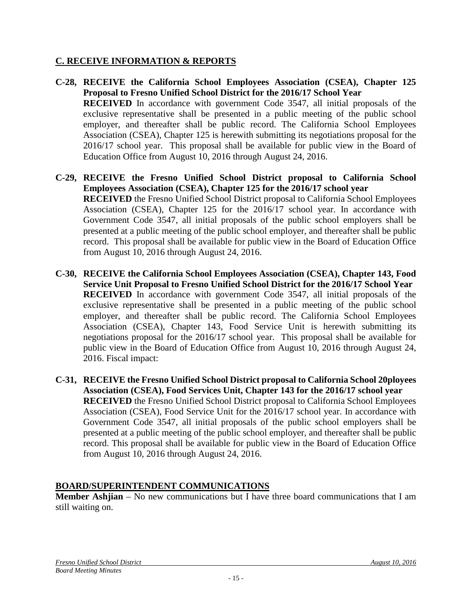## **C. RECEIVE INFORMATION & REPORTS**

- **C-28, RECEIVE the California School Employees Association (CSEA), Chapter 125 Proposal to Fresno Unified School District for the 2016/17 School Year RECEIVED** In accordance with government Code 3547, all initial proposals of the exclusive representative shall be presented in a public meeting of the public school employer, and thereafter shall be public record. The California School Employees Association (CSEA), Chapter 125 is herewith submitting its negotiations proposal for the 2016/17 school year. This proposal shall be available for public view in the Board of Education Office from August 10, 2016 through August 24, 2016.
- **C-29, RECEIVE the Fresno Unified School District proposal to California School Employees Association (CSEA), Chapter 125 for the 2016/17 school year RECEIVED** the Fresno Unified School District proposal to California School Employees Association (CSEA), Chapter 125 for the 2016/17 school year. In accordance with Government Code 3547, all initial proposals of the public school employers shall be presented at a public meeting of the public school employer, and thereafter shall be public record. This proposal shall be available for public view in the Board of Education Office from August 10, 2016 through August 24, 2016.
- **C-30, RECEIVE the California School Employees Association (CSEA), Chapter 143, Food Service Unit Proposal to Fresno Unified School District for the 2016/17 School Year RECEIVED** In accordance with government Code 3547, all initial proposals of the exclusive representative shall be presented in a public meeting of the public school employer, and thereafter shall be public record. The California School Employees Association (CSEA), Chapter 143, Food Service Unit is herewith submitting its negotiations proposal for the 2016/17 school year. This proposal shall be available for public view in the Board of Education Office from August 10, 2016 through August 24, 2016. Fiscal impact:
- **C-31, RECEIVE the Fresno Unified School District proposal to California School 20ployees Association (CSEA), Food Services Unit, Chapter 143 for the 2016/17 school year RECEIVED** the Fresno Unified School District proposal to California School Employees Association (CSEA), Food Service Unit for the 2016/17 school year. In accordance with Government Code 3547, all initial proposals of the public school employers shall be presented at a public meeting of the public school employer, and thereafter shall be public record. This proposal shall be available for public view in the Board of Education Office from August 10, 2016 through August 24, 2016.

## **BOARD/SUPERINTENDENT COMMUNICATIONS**

**Member Ashjian** – No new communications but I have three board communications that I am still waiting on.